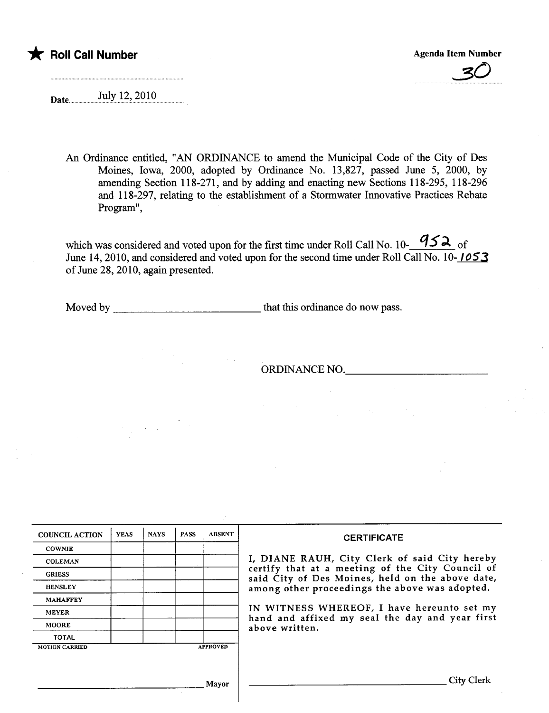# \* Roll Call Number Agenda Item Number Agenda Item Number

3()

Date ...................!l:i.'I..i.~.'...~9..i.9....

An Ordinance entitled, "AN ORDINANCE to amend the Municipal Code of the City of Des Moines, Iowa, 2000, adopted by Ordinance No. 13,827, passed June 5, 2000, by amending Section 118-271, and by adding and enacting new Sections 118-295, 118-296 and 118-297, relating to the establishment of a Stormwater Innovative Practices Rebate Program".

which was considered and voted upon for the first time under Roll Call No. 10- $\frac{952}{ }$  of June 14, 2010, and considered and voted upon for the second time under Roll Call No. 10-1053 of June 28, 2010, again presented.

Moved by that ths ordinance do now pass.

ORDINANCE NO.

| <b>COUNCIL ACTION</b> | <b>YEAS</b> | <b>NAYS</b> | <b>PASS</b> | <b>ABSENT</b>   | <b>CERTIFICATE</b>                                                                                                                                                                                                                                                        |
|-----------------------|-------------|-------------|-------------|-----------------|---------------------------------------------------------------------------------------------------------------------------------------------------------------------------------------------------------------------------------------------------------------------------|
| <b>COWNIE</b>         |             |             |             |                 |                                                                                                                                                                                                                                                                           |
| <b>COLEMAN</b>        |             |             |             |                 | I, DIANE RAUH, City Clerk of said City hereby                                                                                                                                                                                                                             |
| <b>GRIESS</b>         |             |             |             |                 | certify that at a meeting of the City Council of<br>said City of Des Moines, held on the above date,<br>among other proceedings the above was adopted.<br>IN WITNESS WHEREOF, I have hereunto set my<br>hand and affixed my seal the day and year first<br>above written. |
| <b>HENSLEY</b>        |             |             |             |                 |                                                                                                                                                                                                                                                                           |
| <b>MAHAFFEY</b>       |             |             |             |                 |                                                                                                                                                                                                                                                                           |
| <b>MEYER</b>          |             |             |             |                 |                                                                                                                                                                                                                                                                           |
| <b>MOORE</b>          |             |             |             |                 |                                                                                                                                                                                                                                                                           |
| <b>TOTAL</b>          |             |             |             |                 |                                                                                                                                                                                                                                                                           |
| <b>MOTION CARRIED</b> |             |             |             | <b>APPROVED</b> |                                                                                                                                                                                                                                                                           |
|                       |             |             |             |                 |                                                                                                                                                                                                                                                                           |
|                       |             |             |             | Mayor           | City Clerk                                                                                                                                                                                                                                                                |

 $\overline{\phantom{a}}$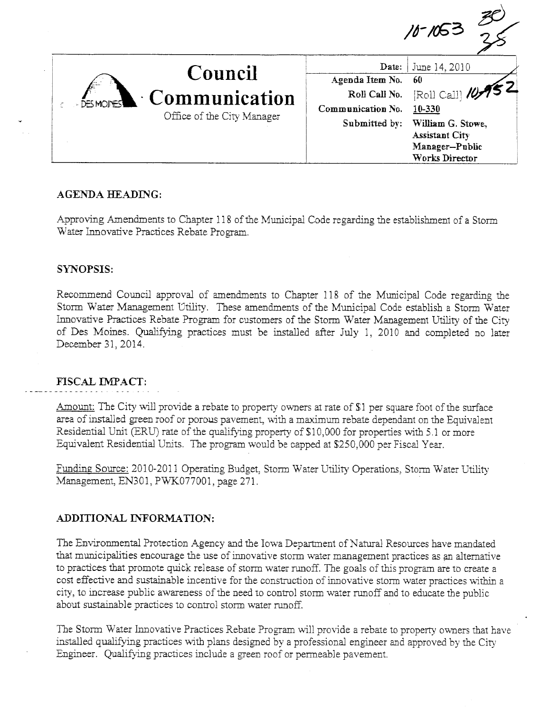

June 14, 2010 Date: Agenda Item No. 60  $[Roll Call]$ Roll Call No. Communication No. 10-330 William G. Stowe, Submitted by: **Assistant City** Manager-Public Works Director

# **AGENDA HEADING:**

Approving Amendments to Chapter 118 of the Municipal Code regarding the establishment of a Storm Water Innovative Practices Rebate Program.

# **SYNOPSIS:**

Recommend Council approval of amendments to Chapter 118 of the Municipal Code regarding the Storm Water Management Utility. These amendments of the Municipal Code establish a Storm Water Innovative Practices Rebate Program for customers of the Storm Water Management Utility of the City of Des Moines. Qualifying practices must be installed after July 1, 2010 and completed no later December 31, 2014.

### **FISCAL IMPACT:**

Amount: The City will provide a rebate to property owners at rate of \$1 per square foot of the surface area of installed green roof or porous pavement, with a maximum rebate dependant on the Equivalent Residential Unit (ERU) rate of the qualifying property of \$10,000 for properties with 5.1 or more Equivalent Residential Units. The program would be capped at \$250,000 per Fiscal Year.

Funding Source: 2010-2011 Operating Budget, Storm Water Utility Operations, Storm Water Utility Management, EN301, PWK077001, page 271.

# ADDITIONAL INFORMATION:

The Environmental Protection Agency and the Iowa Department of Natural Resources have mandated that municipalities encourage the use of innovative storm water management practices as an alternative to practices that promote quick release of storm water runoff. The goals of this program are to create a cost effective and sustainable incentive for the construction of innovative storm water practices within a city, to increase public awareness of the need to control storm water runoff and to educate the public about sustainable practices to control storm water runoff.

The Storm Water Innovative Practices Rebate Program will provide a rebate to property owners that have installed qualifying practices with plans designed by a professional engineer and approved by the City Engineer. Qualifying practices include a green roof or permeable pavement.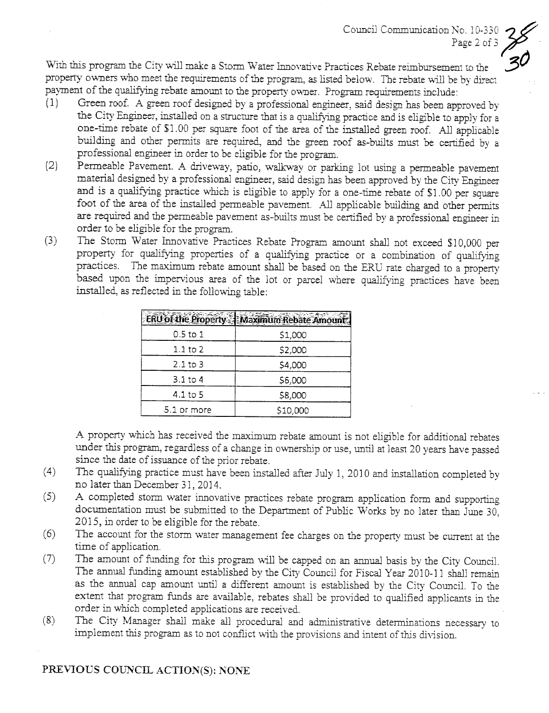Council Communication No. 10-330 Page 2 of  $3$ 

With this program the City will make a Storm Water Innovative Practices Rebate reimbursement to the property owners who meet the requirements of the program, as listed below. The rebate will be by direct payment of the qualifying rebate amount to the property owner. Program requirements include:

- (1) Green roof. A green roof designed by a professional engineer, said design has been approved by the City Engineer, installed on a structure that is a qualifying practice and is eligible to apply for a one-time rebate of \$1.00 per square foot of the area of the installed green roof. All applicable building and other permits are required, and the green roof as-builts must be certified by a professional engineer in order to be eligible for the program.
- (2) Permeable Pavement. A driveway, patio, walkway or parking lot using a permeable pavement material designed by a professional engineer, said design has been approved by the City Engineer and is a qualifying practice which is eligible to apply for a one-time rebate of \$1.00 per square foot of the area of the installed permeable pavement. All applicable building and other permits are required and the permeable pavement as-builts must be certified by a professional engineer in order to be eligible for the program.
- (3) The Storm Water Inovative Practices Rebate Program amount shal not exceed \$10,000 per property for qualifying properties of a qualifying practice or a combination of qualifying practices. The maximum rebate amount shall be based on the ERU rate charged to a property based upon the impervious area of the lot or parcel where qualifying practices have been installed, as reflected in the following table:

|              | ERU of the Property - Maximum Rebate Amo |
|--------------|------------------------------------------|
| 0.5 to 1     | \$1,000                                  |
| $1.1$ to $2$ | \$2,000                                  |
| $2.1$ to $3$ | \$4,000                                  |
| $3.1$ to 4   | \$6,000                                  |
| $4.1$ to 5   | \$8,000                                  |
| 5.1 or more  | \$10,000                                 |

A property which has received the maximum rebate amount is not eligible for additional rebates under this program, regardless of a change in ownership or use, until at least 20 years have passed since the date of issuance of the prior rebate.

- (4) The quaifying practice must have been instaled afer July 1, 2010 and intalation completed by no later than December 31,2014.
- (5) A completed storm water innovative practices rebate program application form and supporting documentation must be submitted to the Department of Public Works by no later than June 30, 2015, in order to be eligible for the rebate.
- (6) The account for the storm water management fee charges on the property must be curent at the time of application.
- (7) The amount of fuding for ths program will be capped on an anua basis by the City CounciL. The annual funding amount established by the City Council for Fiscal Year 2010-11 shall remain as the annual cap amount until a different amount is established by the City Council. To the extent that program fuds are available, rebates shall be provided to quaified applicants in the order in which completed applications are received.
- $(8)$  The City Manager shall make all procedural and administrative determinations necessary to implement this program as to not conflict with the provisions and intent of this division.

# PREVIOUS COUNCIL ACTION(S): NONE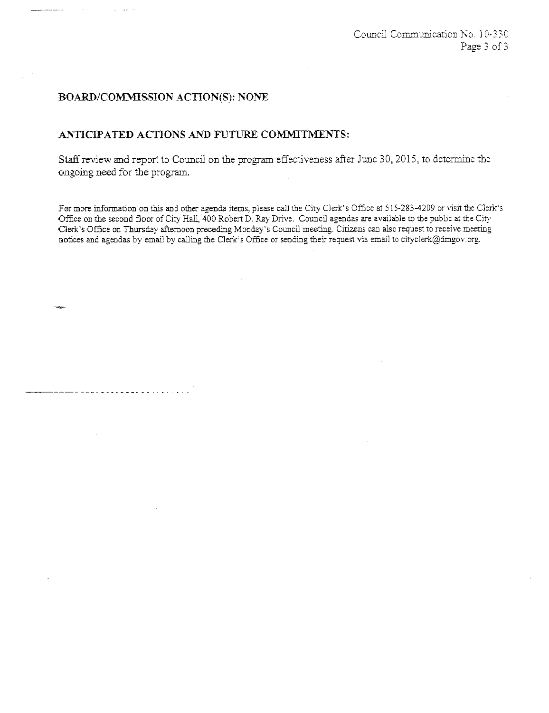# BOARD/COMMISSION ACTION(S): NONE

. . . . . . . . .

#### ANTICIPATED ACTIONS AND FUTURE COMMITMENTS:

Staff review and report to Council on the program effectiveness after June 30, 2015, to determine the ongomg need for the program.

For more information on this and other agenda items, please call the City Clerk's Office at 515-283-4209 or visit the Clerk's Office on the second floor of City Hall, 400 Robert D, Ray Drive. Council agendas are available to the public at the City Clerk's Office on Thursday afternoon preceding Monday's Council meeting. Citizens can also request to receive meeting notices and agendas by email by calling the Clerk's Office or sending their request via email to cityclerk@dmgov.org.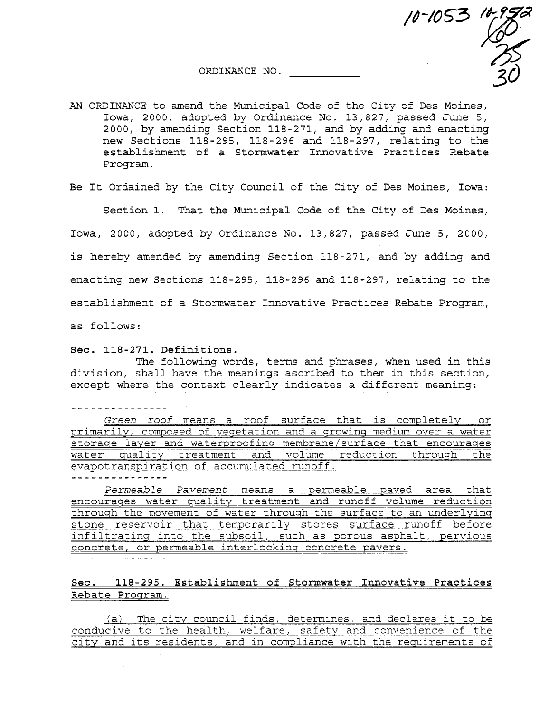. ¥3Ò ORDINANCE NO.



10-1053 10-952

Be It Ordained by the City Council of the City of Des Moines, Iowa:

Section 1. That the Municipal Code of the City of Des Moines,

Iowa, 2000, adopted by Ordinance No. 13,827, passed June 5, 2000,

is hereby amended by amending Section 118-271, and by adding and

enacting new Sections 118-295, 118-296 and 118-297, relating to the

establishment of a Stormwater Innovative Practices Rebate Program,

as follows:

#### See. 118-271. Definitions.

The following words, terms and phrases, when used in this division, shall have the meanings ascribed to them in this section, except where the context clearly indicates a different meaning:

---------------

Green roof means a roof surface that is completely, or primarily, composed of veqetation and a growinq medium over a water storaqe layer and waterproofinq membrane/surface that encouraqes water quality treatment and volume reduction throuqh the evapotranspiration of accumulated runoff. ----------------

Permeable Pavement means a permeable paved area that encourages water quality treatment and runoff volume reduction throuqh the movement of water throuqh the surface to an underlyinq stone reservoir that temporarily stores surface runoff before infiltratinq into the subsoil, such as porous asphalt, pervious concrete, or permeable interlockinq concrete pavers.

#### See. 118-295. Establishment of Stormwater Innovative Practices Rebate Program.

(a) The city council finds, determines, and declares it to be conducive to the health, welfare, safety and convenience of the city and its residents, and in compliance with the requirements of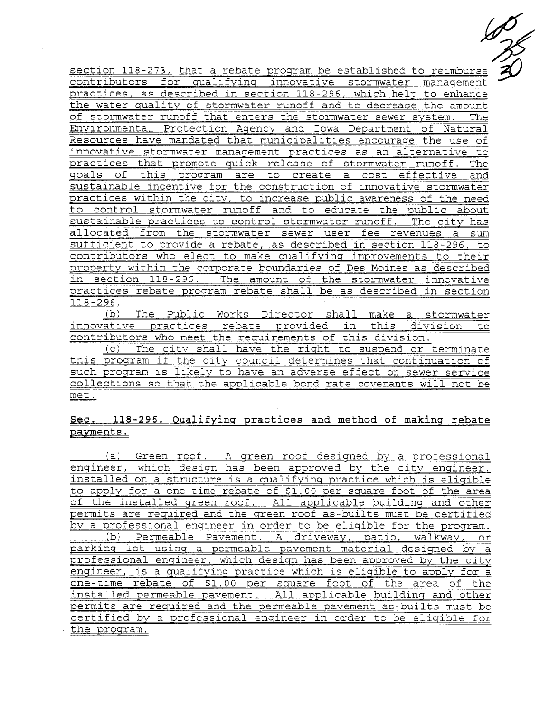500

section 118-273, that a rebate program be established to reimburse contributors for qualifyinq innovative stormwater management practices, as described in section 118-296, which help to enhance the water quality of stormwater runoff and to decrease the amount of storrwater runoff that enters the stormwater sewer system. The Environmental Protection Agency and Iowa Department of Natural Resources have mandated that municipalities encouraqe the use of innovative stormwater manaqement practices as an alternative to practices that promote quick release of stormwater runoff. The goals of this proqram are to create a cost effective and sustainable incentive for the construction of innovative stormwater practices within the city, to increase public awareness of the need to control stormwater runoff and to educate the public about sustainable practices to control stormwater runoff. The city has allocated from the stormwater sewer user fee revenues a sum sufficient to provide a rebate, as described in section 118-296, to contributors who elect to make qualifyinq improvements to their property within the corporate boundaries of Des Moines as described in section 118-296. The amount of the stormwater innovative practices rebate program rebate shall be as described in section  $118 - 296$ .

(b) The Public Works Director shall make a stormwater innovative practices rebate provided in this division to contributors who meet the requirements of this division.

(c) The city shall have the riqht to suspend or terminate this proqram if the city council determines that continuation of such program is likely to have an adverse effect on sewer service collections so that the applicable bond rate covenants will not be met.

#### Sec. 118-296. Qualifyinq practices and method of makinq rebate payments.

(a) Green roof. A qreen roof designed by a professional enqineer, which design has been approved by the city engineer, installed on a structure is a qualifyinq practice which is eligible to apply for a one-time rebate of \$1.00 per square foot of the area of the installed qreen roof. All applicable building and other permits are required and the qreen roof as-builts must be certified by a professional engineer in order to be eliqible for the program. (b) Permeable Pavement. A driveway, patio, walkway, or parkinq lot usinq a permeable pavement material desiqned by a professional enqineer, which desiqn has been approved by the city enqineer, is a qualifyinq practice which is eliqible to apply for a one-time rebate of \$1.00 per square foot of the area of the installed permeable pavement. All applicable buildinq and other permits are required and the permeable pavement as-builts must be certified by a professional enqineer in order to be eliqible for the proqram.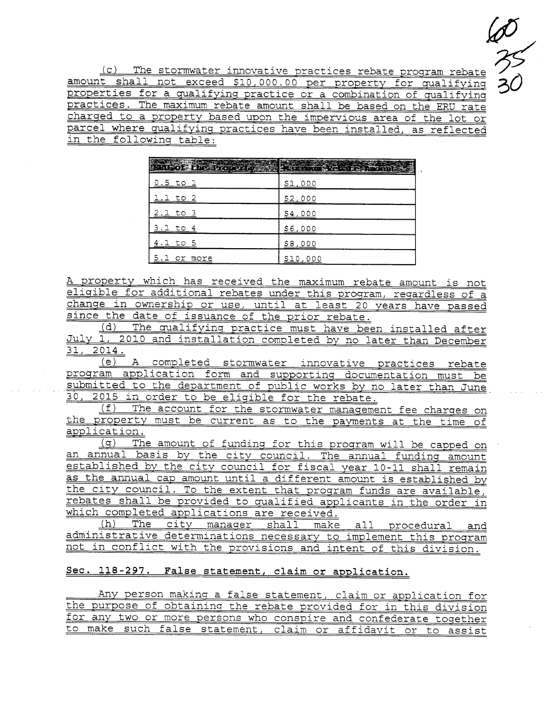$27/20$ 30

(c) The stormwater innovative practices rebate proqram rebate amount shall not exceed \$10,000.00 per property for qualifying properties for a qualifyinq practice or a combination of qualifyinq practices. The maximum rebate amount shall be based on the ERU rate charqed to a property based upon the impervious area of the lot or parcel where qualifyinq practices have been installed, as reflected in the following table:

| <b><u>hual of the Property</u></b> | , and with $\mathbb{Q}$ , $\mathbb{Q}$ , and $\mathbb{Q}$ , $\mathbb{Q}$ , $\mathbb{Q}$ , $\mathbb{Q}$ |
|------------------------------------|--------------------------------------------------------------------------------------------------------|
| <u>0.5 to 1</u>                    | \$1,000                                                                                                |
| 1 to 2                             | <u>\$2,000</u>                                                                                         |
| 2.1 to 3                           | \$4,000                                                                                                |
| 3.1 to                             | \$6,000                                                                                                |
| to 5                               | \$8,000                                                                                                |
| Or<br>more                         | \$10,000                                                                                               |

A property which has received the maximum rebate amount is not eliqible for additional rebates under this proqram, reqardless of a chanqe in ownership or use, until at least 20 years have passed since the date of issuance of the prior rebate.

(d) The qualifyinq practice must have been installed after July 1, 2010 and installation completed by no later than December 31, 2014.

(e) A completed stormwater innovative practices rebate proqram application form and supportinq documentation must be submitted to the department of public works by no later than June 30, 2015 in order to be eliqible for the rebate.

(f) The account for the stormwater manaqement fee charqes on the property must be current as to the payments at the time of application.

(q) The amount of fundinq for this proqram will be capped on an annual basis by the city council. The annual funding amount established by the city council for fiscal year 10-11 shall remain as the annual cap amount until a different amount is established by the city council. To the extent that proqram funds are available, rebates shall be provided to qualified applicants in the order in which completed applications are received.

(h) The city manager shall make all procedural and administrative determinations necessary to implement this program not in conflict with the provisions and intent of this division.

#### Sec. 118-297. False statement, claim or application.

Any person makinq a false statement, claim or application for the purpose of obtaininq the rebate provided for in this division for any two or more persons who conspire and confederate toqether to make such false statement, claim or affidavit or to assist